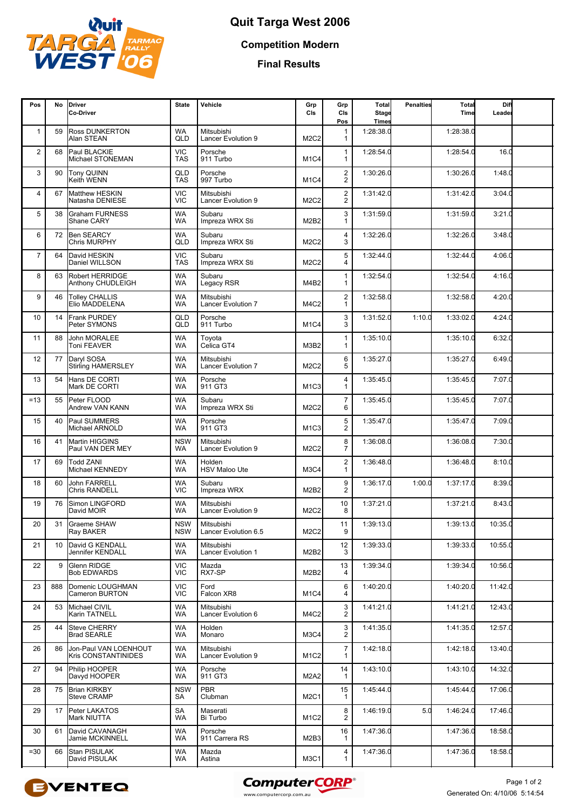

**Competition Modern**

**Final Results**

| Pos                     | No  | <b>IDriver</b><br>Co-Driver                         | <b>State</b>             | Vehicle                                 | Grp<br>CIs                    | Grp<br>CIs<br>Pos                  | Total<br><b>Stage</b><br><b>Times</b> | <b>Penalties</b> | Total<br>Time | Diff<br>Leader |  |
|-------------------------|-----|-----------------------------------------------------|--------------------------|-----------------------------------------|-------------------------------|------------------------------------|---------------------------------------|------------------|---------------|----------------|--|
| $\mathbf{1}$            | 59  | <b>Ross DUNKERTON</b><br>Alan STEAN                 | <b>WA</b><br>QLD         | Mitsubishi<br><b>Lancer Evolution 9</b> | M <sub>2</sub> C <sub>2</sub> | 1<br>1                             | 1:28:38.0                             |                  | 1:28:38.0     |                |  |
| $\overline{\mathbf{c}}$ | 68  | Paul BLACKIE<br>Michael STONEMAN                    | <b>VIC</b><br><b>TAS</b> | Porsche<br>911 Turbo                    | M <sub>1</sub> C <sub>4</sub> | $\mathbf{1}$<br>1                  | 1:28:54.0                             |                  | 1:28:54.0     | 16.0           |  |
| 3                       | 90  | Tony QUINN<br>Keith WENN                            | QLD<br><b>TAS</b>        | Porsche<br>997 Turbo                    | M <sub>1</sub> C <sub>4</sub> | $\boldsymbol{2}$<br>$\overline{2}$ | 1:30:26.0                             |                  | 1:30:26.0     | 1:48.0         |  |
| 4                       | 67  | Matthew HESKIN<br>Natasha DENIESE                   | <b>VIC</b><br><b>VIC</b> | Mitsubishi<br><b>Lancer Evolution 9</b> | M <sub>2</sub> C <sub>2</sub> | $\overline{2}$<br>2                | 1:31:42.0                             |                  | 1:31:42.0     | 3:04.0         |  |
| 5                       | 38  | <b>Graham FURNESS</b><br>Shane CARY                 | <b>WA</b><br><b>WA</b>   | Subaru<br>Impreza WRX Sti               | M2B2                          | 3                                  | 1:31:59.0                             |                  | 1:31:59.0     | 3:21.0         |  |
| 6                       | 72  | <b>Ben SEARCY</b><br>Chris MURPHY                   | WA<br>QLD                | Subaru<br>Impreza WRX Sti               | M2C2                          | 4<br>3                             | 1:32:26.0                             |                  | 1:32:26.0     | 3:48.0         |  |
| $\overline{7}$          | 64  | David HESKIN<br>Daniel WILLSON                      | <b>VIC</b><br><b>TAS</b> | Subaru<br>Impreza WRX Sti               | M2C2                          | 5<br>4                             | 1:32:44.0                             |                  | 1:32:44.0     | 4:06.0         |  |
| 8                       | 63  | <b>Robert HERRIDGE</b><br>Anthony CHUDLEIGH         | WA<br><b>WA</b>          | Subaru<br>Legacy RSR                    | M4B2                          | $\mathbf{1}$<br>$\mathbf{1}$       | 1:32:54.0                             |                  | 1:32:54.0     | 4:16.0         |  |
| 9                       | 46  | <b>Tolley CHALLIS</b><br>Elio MADDELENA             | <b>WA</b><br>WA          | Mitsubishi<br><b>Lancer Evolution 7</b> | M4C2                          | $\boldsymbol{2}$<br>$\mathbf{1}$   | 1:32:58.0                             |                  | 1:32:58.0     | 4:20.0         |  |
| 10                      | 14  | Frank PURDEY<br>Peter SYMONS                        | QLD<br>QLD               | Porsche<br>911 Turbo                    | M <sub>1</sub> C4             | 3<br>3                             | 1:31:52.0                             | 1:10.0           | 1:33:02.0     | 4:24.0         |  |
| 11                      | 88  | <b>John MORALEE</b><br>Toni FEAVER                  | <b>WA</b><br><b>WA</b>   | Toyota<br>Celica GT4                    | M3B2                          | $\mathbf{1}$<br>$\mathbf{1}$       | 1:35:10.0                             |                  | 1:35:10.0     | 6:32.0         |  |
| 12                      | 77  | Daryl SOSA<br><b>Stirling HAMERSLEY</b>             | <b>WA</b><br>WA          | Mitsubishi<br><b>Lancer Evolution 7</b> | M <sub>2</sub> C <sub>2</sub> | 6<br>5                             | 1:35:27.0                             |                  | 1:35:27.0     | 6:49.0         |  |
| 13                      | 54  | Hans DE CORTI<br>Mark DE CORTI                      | <b>WA</b><br><b>WA</b>   | Porsche<br>911 GT3                      | M <sub>1</sub> C <sub>3</sub> | 4<br>$\mathbf{1}$                  | 1:35:45.0                             |                  | 1:35:45.0     | 7:07.0         |  |
| $=13$                   | 55  | Peter FLOOD<br><b>Andrew VAN KANN</b>               | <b>WA</b><br><b>WA</b>   | Subaru<br>Impreza WRX Sti               | M2C2                          | $\overline{7}$<br>6                | 1:35:45.0                             |                  | 1:35:45.0     | 7:07.0         |  |
| 15                      | 40  | Paul SUMMERS<br>Michael ARNOLD                      | <b>WA</b><br>WA          | Porsche<br>911 GT3                      | M <sub>1</sub> C <sub>3</sub> | 5<br>2                             | 1:35:47.0                             |                  | 1:35:47.0     | 7:09.0         |  |
| 16                      | 41  | <b>Martin HIGGINS</b><br>Paul VAN DER MEY           | <b>NSW</b><br><b>WA</b>  | Mitsubishi<br><b>Lancer Evolution 9</b> | M2C2                          | 8<br>$\overline{7}$                | 1:36:08.0                             |                  | 1:36:08.0     | 7:30.0         |  |
| 17                      | 69  | <b>Todd ZANI</b><br>Michael KENNEDY                 | <b>WA</b><br><b>WA</b>   | Holden<br><b>HSV Maloo Ute</b>          | M <sub>3</sub> C <sub>4</sub> | $\overline{\mathbf{c}}$<br>1       | 1:36:48.0                             |                  | 1:36:48.0     | 8:10.0         |  |
| 18                      | 60  | John FARRELL<br><b>Chris RANDELL</b>                | <b>WA</b><br><b>VIC</b>  | Subaru<br>Impreza WRX                   | M2B2                          | $\boldsymbol{9}$<br>2              | 1:36:17.0                             | 1:00.0           | 1:37:17.0     | 8:39.0         |  |
| 19                      | 76  | Simon LINGFORD<br>David MOIR                        | <b>WA</b><br><b>WA</b>   | Mitsubishi<br>Lancer Evolution 9        | M <sub>2</sub> C <sub>2</sub> | 10<br>8                            | 1:37:21.0                             |                  | 1:37:21.0     | 8:43.0         |  |
| 20                      | 31  | <b>Graeme SHAW</b><br>Ray BAKER                     | <b>NSW</b><br><b>NSW</b> | Mitsubishi<br>Lancer Evolution 6.5      | M <sub>2</sub> C <sub>2</sub> | 11<br>9                            | 1:39:13.0                             |                  | 1:39:13.0     | 10:35.0        |  |
| 21                      | 10  | David G KENDALL<br>Jennifer KENDALL                 | WA<br><b>WA</b>          | Mitsubishi<br>Lancer Evolution 1        | M2B2                          | 12<br>3                            | 1:39:33.0                             |                  | 1:39:33.0     | 10:55.0        |  |
| 22                      | 9   | Glenn RIDGE<br><b>Bob EDWARDS</b>                   | <b>VIC</b><br><b>VIC</b> | Mazda<br>RX7-SP                         | M2B2                          | 13<br>4                            | 1:39:34.0                             |                  | 1:39:34.0     | 10:56.0        |  |
| 23                      | 888 | Domenic LOUGHMAN<br>Cameron BURTON                  | <b>VIC</b><br><b>VIC</b> | Ford<br>Falcon XR8                      | M <sub>1</sub> C4             | 6<br>4                             | 1:40:20.0                             |                  | 1:40:20.0     | 11:42.0        |  |
| 24                      | 53  | Michael CIVIL<br>Karin TATNELL                      | <b>WA</b><br><b>WA</b>   | Mitsubishi<br>Lancer Evolution 6        | M4C2                          | 3<br>$\overline{2}$                | 1:41:21.0                             |                  | 1:41:21.0     | 12:43.0        |  |
| 25                      | 44  | <b>Steve CHERRY</b><br><b>Brad SEARLE</b>           | <b>WA</b><br>WA          | Holden<br>Monaro                        | M <sub>3</sub> C <sub>4</sub> | 3<br>2                             | 1:41:35.0                             |                  | 1:41:35.0     | 12:57.0        |  |
| 26                      | 86  | Jon-Paul VAN LOENHOUT<br><b>Kris CONSTANTINIDES</b> | WA<br><b>WA</b>          | Mitsubishi<br>Lancer Evolution 9        | M <sub>1</sub> C <sub>2</sub> | $\overline{7}$<br>1                | 1:42:18.0                             |                  | 1:42:18.0     | 13:40.0        |  |
| 27                      | 94  | Philip HOOPER<br>Davyd HOOPER                       | <b>WA</b><br><b>WA</b>   | Porsche<br>911 GT3                      | M2A2                          | 14<br>-1                           | 1:43:10.0                             |                  | 1:43:10.0     | 14:32.0        |  |
| 28                      | 75  | <b>Brian KIRKBY</b><br><b>Steve CRAMP</b>           | <b>NSW</b><br>SA         | <b>PBR</b><br>Clubman                   | <b>M2C1</b>                   | 15<br>1                            | 1:45:44.0                             |                  | 1:45:44.0     | 17:06.0        |  |
| 29                      | 17  | Peter LAKATOS<br>Mark NIUTTA                        | SA<br><b>WA</b>          | Maserati<br>Bi Turbo                    | M <sub>1</sub> C <sub>2</sub> | 8<br>$\overline{2}$                | 1:46:19.0                             | 5.0              | 1:46:24.0     | 17:46.0        |  |
| 30                      | 61  | David CAVANAGH<br>Jamie MCKINNELL                   | WA<br>WA                 | Porsche<br>911 Carrera RS               | M2B3                          | 16<br>1                            | 1:47:36.0                             |                  | 1:47:36.0     | 18:58.0        |  |
| $= 30$                  | 66  | <b>Stan PISULAK</b><br>David PISULAK                | WA<br><b>WA</b>          | Mazda<br>Astina                         | M3C1                          | 4<br>$\mathbf{1}$                  | 1:47:36.0                             |                  | 1:47:36.0     | 18:58.0        |  |



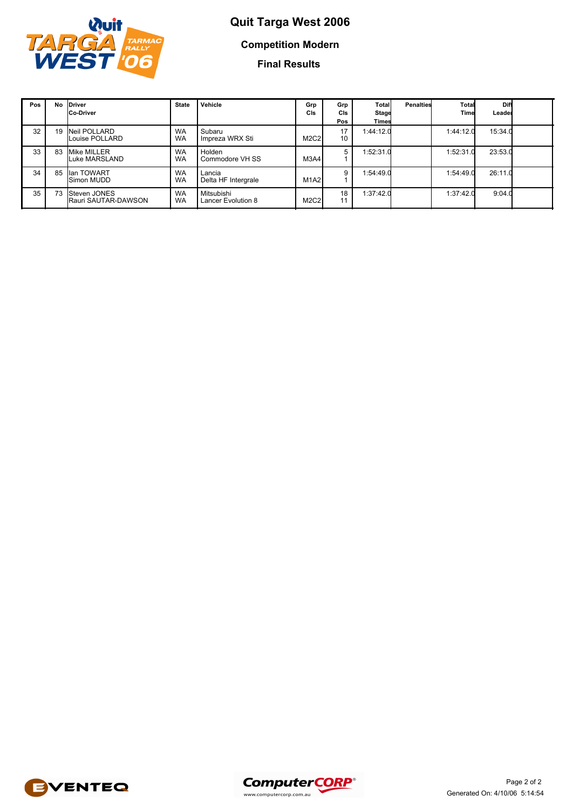

# **Quit Targa West 2006 Competition Modern**

**Final Results**

| Pos | No | <b>IDriver</b><br>Co-Driver         | <b>State</b>           | Vehicle                                 | Grp<br>CIs | Grp<br><b>CIs</b><br>Pos | Total<br><b>Stage</b><br>Times | <b>Penalties</b> | Total<br>Time | Diff<br>Leader |  |
|-----|----|-------------------------------------|------------------------|-----------------------------------------|------------|--------------------------|--------------------------------|------------------|---------------|----------------|--|
| 32  | 19 | Neil POLLARD<br>Louise POLLARD      | <b>WA</b><br><b>WA</b> | Subaru<br>Impreza WRX Sti               | M2C2       | 17<br>$10-10$            | 1:44:12.0                      |                  | 1:44:12.0     | 15:34.0        |  |
| 33  | 83 | Mike MILLER<br>Luke MARSLAND        | <b>WA</b><br><b>WA</b> | Holden<br>Commodore VH SS               | M3A4       | 5                        | 1:52:31.0                      |                  | 1:52:31.0     | 23:53.0        |  |
| 34  | 85 | llan TOWART<br>Simon MUDD           | <b>WA</b><br><b>WA</b> | Lancia<br>Delta HF Intergrale           | M1A2       | 9                        | 1:54:49.0                      |                  | 1:54:49.0     | 26:11.0        |  |
| 35  | 73 | Steven JONES<br>Rauri SAUTAR-DAWSON | <b>WA</b><br><b>WA</b> | Mitsubishi<br><b>Lancer Evolution 8</b> | M2C2       | 18<br>11                 | 1:37:42.0                      |                  | 1:37:42.0     | 9:04.0         |  |



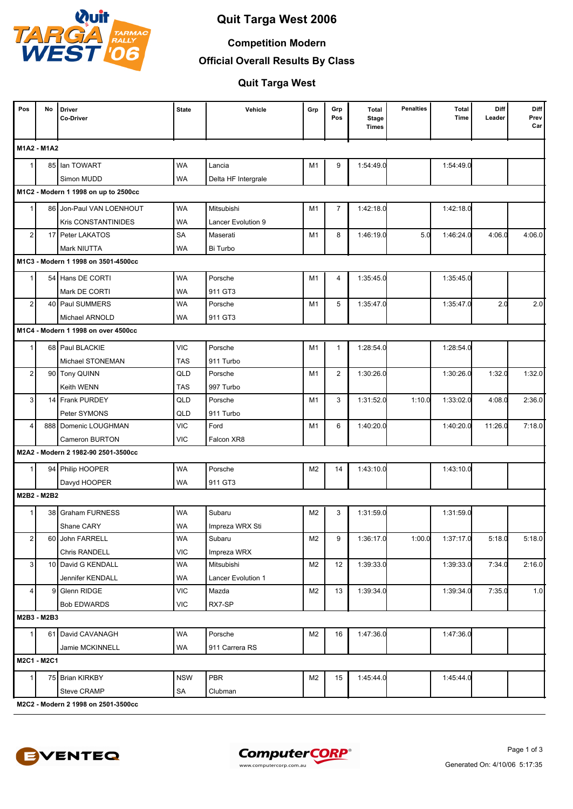

### **Competition Modern**

**Official Overall Results By Class**

### **Quit Targa West**

| Pos            | No          | Driver<br><b>Co-Driver</b>           | <b>State</b> | Vehicle             | Grp | Grp<br>Pos     | Total<br><b>Stage</b><br><b>Times</b> | <b>Penalties</b> | <b>Total</b><br>Time | Diff<br>Leader | Diff<br>Prev<br>Car |
|----------------|-------------|--------------------------------------|--------------|---------------------|-----|----------------|---------------------------------------|------------------|----------------------|----------------|---------------------|
|                | M1A2 - M1A2 |                                      |              |                     |     |                |                                       |                  |                      |                |                     |
|                |             | 85 Ian TOWART                        | <b>WA</b>    | Lancia              | M1  | 9              | 1:54:49.0                             |                  | 1:54:49.0            |                |                     |
|                |             | Simon MUDD                           | <b>WA</b>    | Delta HF Intergrale |     |                |                                       |                  |                      |                |                     |
|                |             | M1C2 - Modern 1 1998 on up to 2500cc |              |                     |     |                |                                       |                  |                      |                |                     |
| $\mathbf 1$    |             | 86 Jon-Paul VAN LOENHOUT             | <b>WA</b>    | Mitsubishi          | M1  | $\overline{7}$ | 1:42:18.0                             |                  | 1:42:18.0            |                |                     |
|                |             | <b>Kris CONSTANTINIDES</b>           | <b>WA</b>    | Lancer Evolution 9  |     |                |                                       |                  |                      |                |                     |
| $\overline{2}$ |             | 17 Peter LAKATOS                     | SA           | Maserati            | M1  | 8              | 1:46:19.0                             | 5.0              | 1:46:24.0            | 4:06.0         | 4:06.0              |
|                |             | Mark NIUTTA                          | <b>WA</b>    | Bi Turbo            |     |                |                                       |                  |                      |                |                     |
|                |             | M1C3 - Modern 1 1998 on 3501-4500cc  |              |                     |     |                |                                       |                  |                      |                |                     |
| -1             |             | 54 Hans DE CORTI                     | <b>WA</b>    | Porsche             | M1  | $\overline{4}$ | 1:35:45.0                             |                  | 1:35:45.0            |                |                     |
|                |             | Mark DE CORTI                        | <b>WA</b>    | 911 GT3             |     |                |                                       |                  |                      |                |                     |
| $\overline{2}$ |             | 40 Paul SUMMERS                      | <b>WA</b>    | Porsche             | M1  | 5              | 1:35:47.0                             |                  | 1:35:47.0            | 2.0            | 2.0                 |
|                |             | Michael ARNOLD                       | <b>WA</b>    | 911 GT3             |     |                |                                       |                  |                      |                |                     |
|                |             | M1C4 - Modern 1 1998 on over 4500cc  |              |                     |     |                |                                       |                  |                      |                |                     |
| $\mathbf 1$    |             | 68 Paul BLACKIE                      | <b>VIC</b>   | Porsche             | M1  | $\mathbf{1}$   | 1:28:54.0                             |                  | 1:28:54.0            |                |                     |
|                |             | Michael STONEMAN                     | <b>TAS</b>   | 911 Turbo           |     |                |                                       |                  |                      |                |                     |
| $\overline{2}$ |             | 90 Tony QUINN                        | QLD          | Porsche             | M1  | $\overline{2}$ | 1:30:26.0                             |                  | 1:30:26.0            | 1:32.0         | 1:32.0              |
|                |             | Keith WENN                           | <b>TAS</b>   | 997 Turbo           |     |                |                                       |                  |                      |                |                     |
| 3              | 14          | <b>Frank PURDEY</b>                  | QLD          | Porsche             | M1  | 3              | 1:31:52.0                             | 1:10.0           | 1:33:02.0            | 4:08.0         | 2:36.0              |
|                |             | Peter SYMONS                         | QLD          | 911 Turbo           |     |                |                                       |                  |                      |                |                     |
| $\overline{4}$ |             | 888 Domenic LOUGHMAN                 | <b>VIC</b>   | Ford                | M1  | 6              | 1:40:20.0                             |                  | 1:40:20.0            | 11:26.0        | 7:18.0              |
|                |             | Cameron BURTON                       | <b>VIC</b>   | Falcon XR8          |     |                |                                       |                  |                      |                |                     |
|                |             | M2A2 - Modern 2 1982-90 2501-3500cc  |              |                     |     |                |                                       |                  |                      |                |                     |
| $\mathbf{1}$   |             | 94 Philip HOOPER                     | <b>WA</b>    | Porsche             | M2  | 14             | 1:43:10.0                             |                  | 1:43:10.0            |                |                     |
|                |             | Davyd HOOPER                         | <b>WA</b>    | 911 GT3             |     |                |                                       |                  |                      |                |                     |
|                | M2B2 - M2B2 |                                      |              |                     |     |                |                                       |                  |                      |                |                     |
|                |             | 38 Graham FURNESS                    | <b>WA</b>    | Subaru              | M2  | 3              | 1:31:59.0                             |                  | 1:31:59.0            |                |                     |
|                |             | Shane CARY                           | <b>WA</b>    | Impreza WRX Sti     |     |                |                                       |                  |                      |                |                     |
| 2              | 60 l        | John FARRELL                         | <b>WA</b>    | Subaru              | M2  | 9              | 1:36:17.0                             | 1:00.0           | 1:37:17.0            | 5:18.0         | 5:18.0              |
|                |             | Chris RANDELL                        | <b>VIC</b>   | Impreza WRX         |     |                |                                       |                  |                      |                |                     |
| 3 <sup>1</sup> |             | 10 David G KENDALL                   | <b>WA</b>    | Mitsubishi          | M2  | 12             | 1:39:33.0                             |                  | 1:39:33.0            | 7:34.0         | 2:16.0              |
|                |             | Jennifer KENDALL                     | WA           | Lancer Evolution 1  |     |                |                                       |                  |                      |                |                     |
| 4 <sup>1</sup> | 9           | Glenn RIDGE                          | <b>VIC</b>   | Mazda               | M2  | 13             | 1:39:34.0                             |                  | 1:39:34.0            | 7:35.0         | 1.0                 |
|                |             | <b>Bob EDWARDS</b>                   | VIC          | RX7-SP              |     |                |                                       |                  |                      |                |                     |
|                | M2B3 - M2B3 |                                      |              |                     |     |                |                                       |                  |                      |                |                     |
| 1              |             | 61 David CAVANAGH                    | WA           | Porsche             | M2  | 16             | 1:47:36.0                             |                  | 1:47:36.0            |                |                     |
|                |             | Jamie MCKINNELL                      | WA           | 911 Carrera RS      |     |                |                                       |                  |                      |                |                     |
|                | M2C1 - M2C1 |                                      |              |                     |     |                |                                       |                  |                      |                |                     |
| 1 <sup>1</sup> |             | 75 Brian KIRKBY                      | <b>NSW</b>   | PBR                 | M2  | 15             | 1:45:44.0                             |                  | 1:45:44.0            |                |                     |
|                |             | Steve CRAMP                          | SA           | Clubman             |     |                |                                       |                  |                      |                |                     |
|                |             | M2C2 - Modern 2 1998 on 2501-3500cc  |              |                     |     |                |                                       |                  |                      |                |                     |



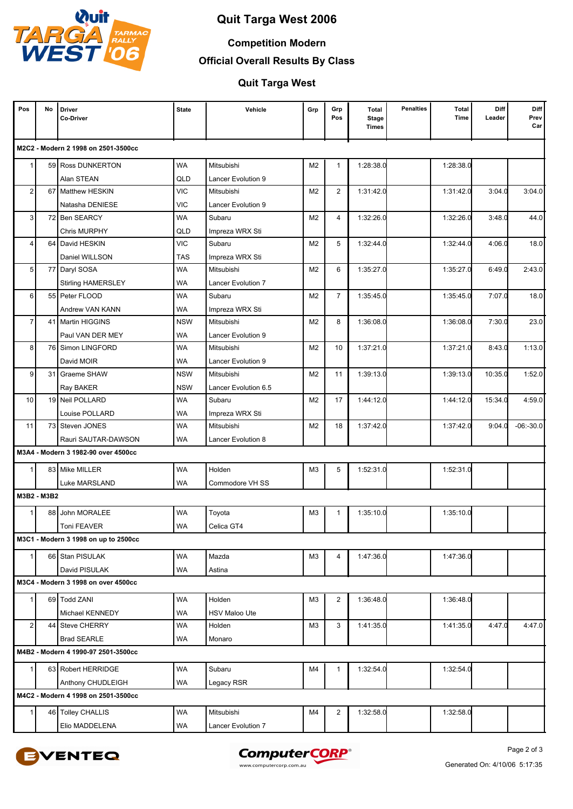

### **Competition Modern**

**Official Overall Results By Class**

**Quit Targa West**

| Pos             | No          | <b>Driver</b><br>Co-Driver           | <b>State</b> | Vehicle              | Grp            | Grp<br>Pos     | <b>Total</b><br><b>Stage</b><br>Times | <b>Penalties</b> | Total<br>Time | Diff<br>Leader | Diff<br>Prev<br>Car |
|-----------------|-------------|--------------------------------------|--------------|----------------------|----------------|----------------|---------------------------------------|------------------|---------------|----------------|---------------------|
|                 |             | M2C2 - Modern 2 1998 on 2501-3500cc  |              |                      |                |                |                                       |                  |               |                |                     |
|                 |             | 59 Ross DUNKERTON                    | <b>WA</b>    | Mitsubishi           | M2             | $\mathbf{1}$   | 1:28:38.0                             |                  | 1:28:38.0     |                |                     |
|                 |             | Alan STEAN                           | QLD          | Lancer Evolution 9   |                |                |                                       |                  |               |                |                     |
| 2 <sup>2</sup>  |             | 67 Matthew HESKIN                    | <b>VIC</b>   | Mitsubishi           | M2             | $\overline{2}$ | 1:31:42.0                             |                  | 1:31:42.0     | 3:04.0         | 3:04.0              |
|                 |             | Natasha DENIESE                      | <b>VIC</b>   | Lancer Evolution 9   |                |                |                                       |                  |               |                |                     |
| 3               |             | 72 Ben SEARCY                        | <b>WA</b>    | Subaru               | M2             | 4              | 1:32:26.0                             |                  | 1:32:26.0     | 3:48.0         | 44.0                |
|                 |             | <b>Chris MURPHY</b>                  | QLD          | Impreza WRX Sti      |                |                |                                       |                  |               |                |                     |
| 4               | 64          | David HESKIN                         | <b>VIC</b>   | Subaru               | M2             | 5              | 1:32:44.0                             |                  | 1:32:44.0     | 4:06.0         | 18.0                |
|                 |             | Daniel WILLSON                       | <b>TAS</b>   | Impreza WRX Sti      |                |                |                                       |                  |               |                |                     |
| 5 <sub>1</sub>  |             | 77 Daryl SOSA                        | <b>WA</b>    | Mitsubishi           | M2             | 6              | 1:35:27.0                             |                  | 1:35:27.0     | 6:49.0         | 2:43.0              |
|                 |             | <b>Stirling HAMERSLEY</b>            | WA           | Lancer Evolution 7   |                |                |                                       |                  |               |                |                     |
| $6 \mid$        |             | 55 Peter FLOOD                       | WA           | Subaru               | M2             | $\overline{7}$ | 1:35:45.0                             |                  | 1:35:45.0     | 7:07.0         | 18.0                |
|                 |             | Andrew VAN KANN                      | WA           | Impreza WRX Sti      |                |                |                                       |                  |               |                |                     |
| $\overline{7}$  |             | 41   Martin HIGGINS                  | <b>NSW</b>   | Mitsubishi           | M2             | 8              | 1:36:08.0                             |                  | 1:36:08.0     | 7:30.0         | 23.0                |
|                 |             | Paul VAN DER MEY                     | <b>WA</b>    | Lancer Evolution 9   |                |                |                                       |                  |               |                |                     |
| 8               | 76          | Simon LINGFORD                       | WA           | Mitsubishi           | M <sub>2</sub> | 10             | 1:37:21.0                             |                  | 1:37:21.0     | 8:43.0         | 1:13.0              |
|                 |             | David MOIR                           | WA           | Lancer Evolution 9   |                |                |                                       |                  |               |                |                     |
| 9 <sup>°</sup>  |             | 31 Graeme SHAW                       | <b>NSW</b>   | Mitsubishi           | M <sub>2</sub> | 11             | 1:39:13.0                             |                  | 1:39:13.0     | 10:35.0        | 1:52.0              |
|                 |             | Ray BAKER                            | <b>NSW</b>   | Lancer Evolution 6.5 |                |                |                                       |                  |               |                |                     |
| 10 <sup>1</sup> |             | 19 Neil POLLARD                      | WA           | Subaru               | M2             | 17             | 1:44:12.0                             |                  | 1:44:12.0     | 15:34.0        | 4:59.0              |
|                 |             | Louise POLLARD                       | <b>WA</b>    | Impreza WRX Sti      |                |                |                                       |                  |               |                |                     |
| 11              |             | 73 Steven JONES                      | WA           | Mitsubishi           | M2             | 18             | 1:37:42.0                             |                  | 1:37:42.0     | 9:04.0         | $-06:-30.0$         |
|                 |             | Rauri SAUTAR-DAWSON                  | WA           | Lancer Evolution 8   |                |                |                                       |                  |               |                |                     |
|                 |             | M3A4 - Modern 3 1982-90 over 4500cc  |              |                      |                |                |                                       |                  |               |                |                     |
|                 |             | 83 Mike MILLER                       | <b>WA</b>    | Holden               | M <sub>3</sub> | 5              | 1:52:31.0                             |                  | 1:52:31.0     |                |                     |
|                 |             | Luke MARSLAND                        | <b>WA</b>    | Commodore VH SS      |                |                |                                       |                  |               |                |                     |
|                 | M3B2 - M3B2 |                                      |              |                      |                |                |                                       |                  |               |                |                     |
|                 |             | 88 John MORALEE                      | WA           | Toyota               | M <sub>3</sub> | $\mathbf{1}$   | 1:35:10.0                             |                  | 1:35:10.0     |                |                     |
|                 |             | Toni FEAVER                          | <b>WA</b>    | Celica GT4           |                |                |                                       |                  |               |                |                     |
|                 |             | M3C1 - Modern 3 1998 on up to 2500cc |              |                      |                |                |                                       |                  |               |                |                     |
| 1 <sup>1</sup>  |             | 66 Stan PISULAK                      | <b>WA</b>    | Mazda                | ΜЗ             | 4              | 1:47:36.0                             |                  | 1:47:36.0     |                |                     |
|                 |             | David PISULAK                        | <b>WA</b>    | Astina               |                |                |                                       |                  |               |                |                     |
|                 |             | M3C4 - Modern 3 1998 on over 4500cc  |              |                      |                |                |                                       |                  |               |                |                     |
|                 |             |                                      |              |                      |                |                |                                       |                  |               |                |                     |
| 1               |             | 69 Todd ZANI                         | <b>WA</b>    | Holden               | M <sub>3</sub> | $\overline{2}$ | 1:36:48.0                             |                  | 1:36:48.0     |                |                     |
|                 |             | Michael KENNEDY                      | <b>WA</b>    | <b>HSV Maloo Ute</b> |                |                |                                       |                  |               |                |                     |
| 2               |             | 44 Steve CHERRY                      | <b>WA</b>    | Holden               | M <sub>3</sub> | 3              | 1:41:35.0                             |                  | 1:41:35.0     | 4:47.0         | 4:47.0              |
|                 |             | <b>Brad SEARLE</b>                   | <b>WA</b>    | Monaro               |                |                |                                       |                  |               |                |                     |
|                 |             | M4B2 - Modern 4 1990-97 2501-3500cc  |              |                      |                |                |                                       |                  |               |                |                     |
| 1               |             | 63 Robert HERRIDGE                   | <b>WA</b>    | Subaru               | M4             | $\mathbf{1}$   | 1:32:54.0                             |                  | 1:32:54.0     |                |                     |
|                 |             | Anthony CHUDLEIGH                    | WA           | Legacy RSR           |                |                |                                       |                  |               |                |                     |
|                 |             | M4C2 - Modern 4 1998 on 2501-3500cc  |              |                      |                |                |                                       |                  |               |                |                     |
|                 |             | 46 Tolley CHALLIS                    | <b>WA</b>    | Mitsubishi           | M4             | $\overline{2}$ | 1:32:58.0                             |                  | 1:32:58.0     |                |                     |
|                 |             | Elio MADDELENA                       | WA           | Lancer Evolution 7   |                |                |                                       |                  |               |                |                     |
|                 |             |                                      |              |                      |                |                |                                       |                  |               |                |                     |